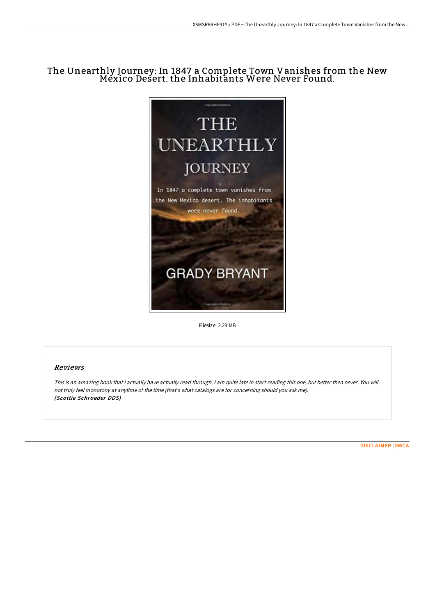# The Unearthly Journey: In 1847 a Complete Town Vanishes from the New Mexico Desert. the Inhabitants Were Never Found.



Filesize: 2.29 MB

## Reviews

This is an amazing book that I actually have actually read through. I am quite late in start reading this one, but better then never. You will not truly feel monotony at anytime of the time (that's what catalogs are for concerning should you ask me). (Scottie Schroeder DDS)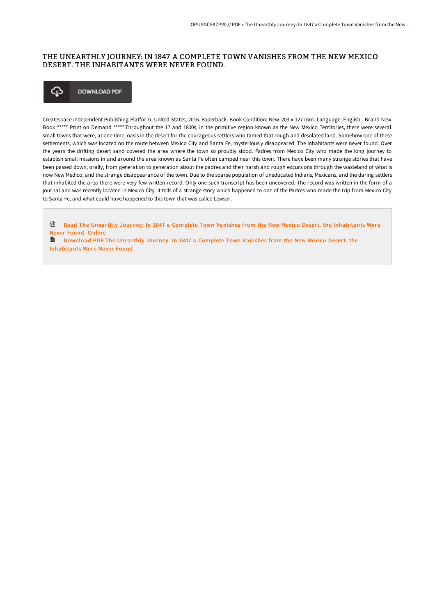## THE UNEARTHLY JOURNEY: IN 1847 A COMPLETE TOWN VANISHES FROM THE NEW MEXICO DESERT. THE INHABITANTS WERE NEVER FOUND.



Createspace Independent Publishing Platform, United States, 2016. Paperback. Book Condition: New. 203 x 127 mm. Language: English . Brand New Book \*\*\*\*\* Print on Demand \*\*\*\*\*.Throughout the 17 and 1800s, in the primitive region known as the New Mexico Territories, there were several small towns that were, at one time, oasis in the desert for the courageous settlers who tamed that rough and desolated land. Somehow one of these settlements, which was located on the route between Mexico City and Santa Fe, mysteriously disappeared. The inhabitants were never found. Over the years the drifting desert sand covered the area where the town so proudly stood. Padres from Mexico City who made the long journey to establish small missions in and around the area known as Santa Fe often camped near this town. There have been many strange stories that have been passed down, orally, from generation to generation about the padres and their harsh and rough excursions through the wasteland of what is now New Medico, and the strange disappearance of the town. Due to the sparse population of uneducated Indians, Mexicans, and the daring settlers that inhabited the area there were very few written record. Only one such transcript has been uncovered. The record was written in the form of a journal and was recently located in Mexico City. It tells of a strange story which happened to one of the Padres who made the trip from Mexico City to Santa Fe, and what could have happened to this town that was called Lewsor.

Read The Unearthly Journey: In 1847 a Complete Town Vanishes from the New Mexico Desert. the [Inhabitants](http://albedo.media/the-unearthly-journey-in-1847-a-complete-town-va.html) Were Never Found. Online

**■** Download PDF The Unearthly Journey: In 1847 a Complete Town Vanishes from the New Mexico Desert. the [Inhabitants](http://albedo.media/the-unearthly-journey-in-1847-a-complete-town-va.html) Were Never Found.